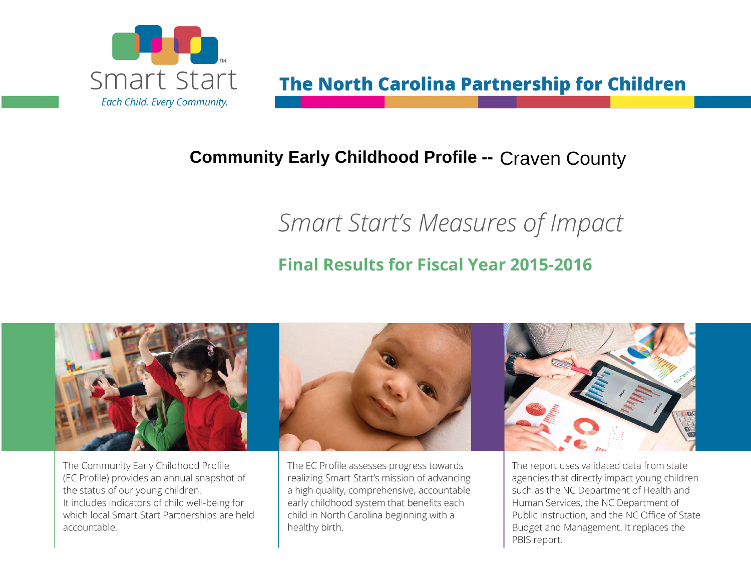

# **The North Carolina Partnership for Children**

# **Community Early Childhood Profile -- Craven County**

# Smart Start's Measures of Impact

### **Final Results for Fiscal Year 2015-2016**



The Community Early Childhood Profile (EC Profile) provides an annual snapshot of the status of our young children. It includes indicators of child well-being for which local Smart Start Partnerships are held accountable.



The EC Profile assesses progress towards realizing Smart Start's mission of advancing a high quality, comprehensive, accountable early childhood system that benefits each child in North Carolina beginning with a healthy birth.



The report uses validated data from state agencies that directly impact young children such as the NC Department of Health and Human Services, the NC Department of Public Instruction, and the NC Office of State Budget and Management. It replaces the PBIS report.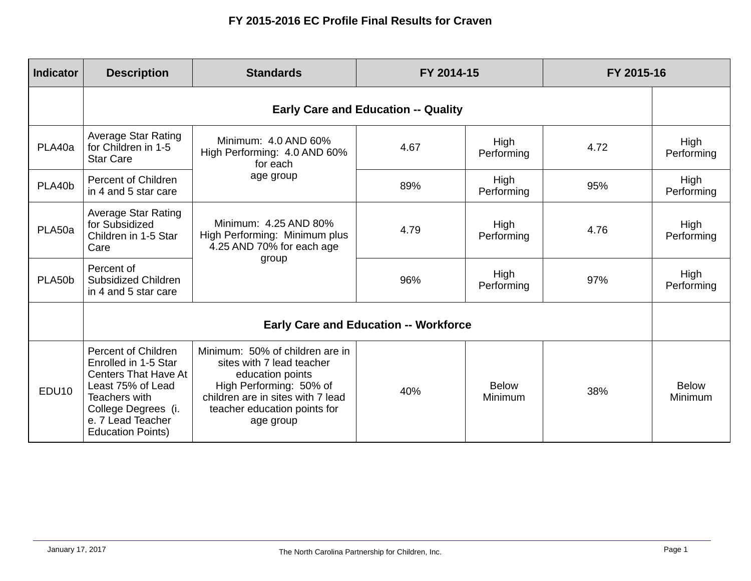| <b>Indicator</b>  | <b>Description</b>                                                                                                                                                                       | <b>Standards</b>                                                                                                                                                                              | FY 2014-15 |                         | FY 2015-16 |                         |  |
|-------------------|------------------------------------------------------------------------------------------------------------------------------------------------------------------------------------------|-----------------------------------------------------------------------------------------------------------------------------------------------------------------------------------------------|------------|-------------------------|------------|-------------------------|--|
|                   | <b>Early Care and Education -- Quality</b>                                                                                                                                               |                                                                                                                                                                                               |            |                         |            |                         |  |
| PLA40a            | Average Star Rating<br>for Children in 1-5<br><b>Star Care</b>                                                                                                                           | Minimum: 4.0 AND 60%<br>High Performing: 4.0 AND 60%<br>for each<br>age group                                                                                                                 | 4.67       | High<br>Performing      | 4.72       | High<br>Performing      |  |
| PLA40b            | Percent of Children<br>in 4 and 5 star care                                                                                                                                              |                                                                                                                                                                                               | 89%        | High<br>Performing      | 95%        | High<br>Performing      |  |
| PLA50a            | <b>Average Star Rating</b><br>for Subsidized<br>Children in 1-5 Star<br>Care                                                                                                             | Minimum: 4.25 AND 80%<br>High Performing: Minimum plus<br>4.25 AND 70% for each age<br>group                                                                                                  | 4.79       | High<br>Performing      | 4.76       | High<br>Performing      |  |
| PLA50b            | Percent of<br>Subsidized Children<br>in 4 and 5 star care                                                                                                                                |                                                                                                                                                                                               | 96%        | High<br>Performing      | 97%        | High<br>Performing      |  |
|                   | <b>Early Care and Education -- Workforce</b>                                                                                                                                             |                                                                                                                                                                                               |            |                         |            |                         |  |
| EDU <sub>10</sub> | Percent of Children<br>Enrolled in 1-5 Star<br><b>Centers That Have At</b><br>Least 75% of Lead<br>Teachers with<br>College Degrees (i.<br>e. 7 Lead Teacher<br><b>Education Points)</b> | Minimum: 50% of children are in<br>sites with 7 lead teacher<br>education points<br>High Performing: 50% of<br>children are in sites with 7 lead<br>teacher education points for<br>age group | 40%        | <b>Below</b><br>Minimum | 38%        | <b>Below</b><br>Minimum |  |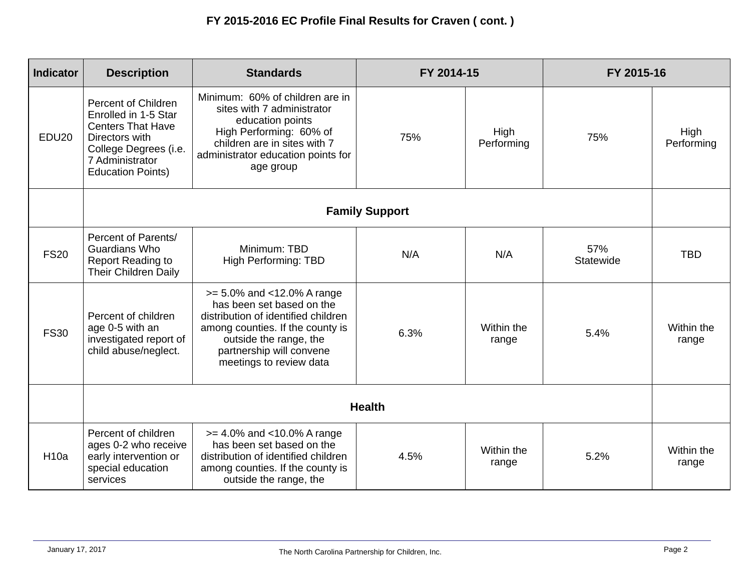| <b>Indicator</b> | <b>Description</b>                                                                                                                                                       | <b>Standards</b>                                                                                                                                                                                                           | FY 2014-15 |                     | FY 2015-16       |                     |
|------------------|--------------------------------------------------------------------------------------------------------------------------------------------------------------------------|----------------------------------------------------------------------------------------------------------------------------------------------------------------------------------------------------------------------------|------------|---------------------|------------------|---------------------|
| <b>EDU20</b>     | <b>Percent of Children</b><br>Enrolled in 1-5 Star<br><b>Centers That Have</b><br>Directors with<br>College Degrees (i.e.<br>7 Administrator<br><b>Education Points)</b> | Minimum: 60% of children are in<br>sites with 7 administrator<br>education points<br>High Performing: 60% of<br>children are in sites with 7<br>administrator education points for<br>age group                            | 75%        | High<br>Performing  | 75%              | High<br>Performing  |
|                  | <b>Family Support</b>                                                                                                                                                    |                                                                                                                                                                                                                            |            |                     |                  |                     |
| <b>FS20</b>      | Percent of Parents/<br><b>Guardians Who</b><br><b>Report Reading to</b><br><b>Their Children Daily</b>                                                                   | Minimum: TBD<br>High Performing: TBD                                                                                                                                                                                       | N/A        | N/A                 | 57%<br>Statewide | <b>TBD</b>          |
| <b>FS30</b>      | Percent of children<br>age 0-5 with an<br>investigated report of<br>child abuse/neglect.                                                                                 | $>= 5.0\%$ and $< 12.0\%$ A range<br>has been set based on the<br>distribution of identified children<br>among counties. If the county is<br>outside the range, the<br>partnership will convene<br>meetings to review data | 6.3%       | Within the<br>range | 5.4%             | Within the<br>range |
|                  | <b>Health</b>                                                                                                                                                            |                                                                                                                                                                                                                            |            |                     |                  |                     |
| <b>H10a</b>      | Percent of children<br>ages 0-2 who receive<br>early intervention or<br>special education<br>services                                                                    | $>= 4.0\%$ and <10.0% A range<br>has been set based on the<br>distribution of identified children<br>among counties. If the county is<br>outside the range, the                                                            | 4.5%       | Within the<br>range | 5.2%             | Within the<br>range |